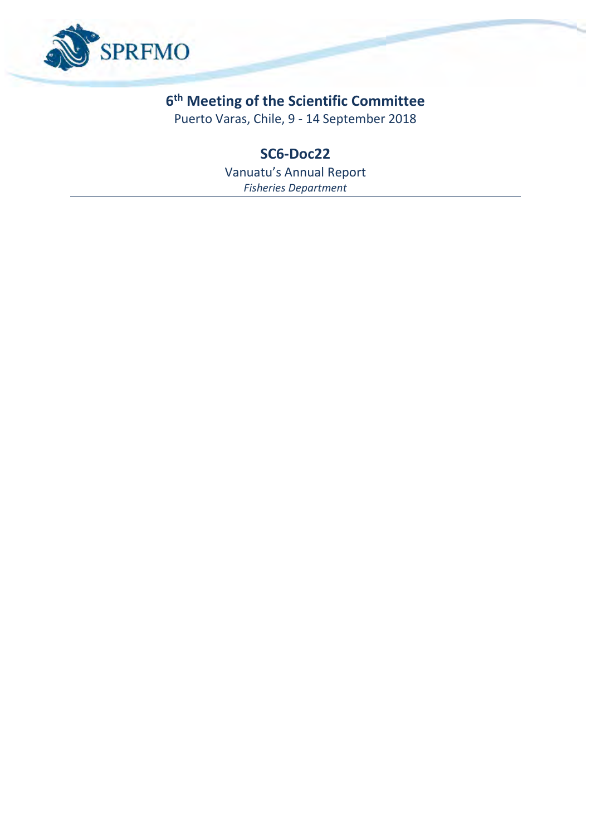

# **6 th Meeting of the Scientific Committee**

Puerto Varas, Chile, 9 - 14 September 2018

## **SC6-Doc22**

Vanuatu's Annual Report *Fisheries Department*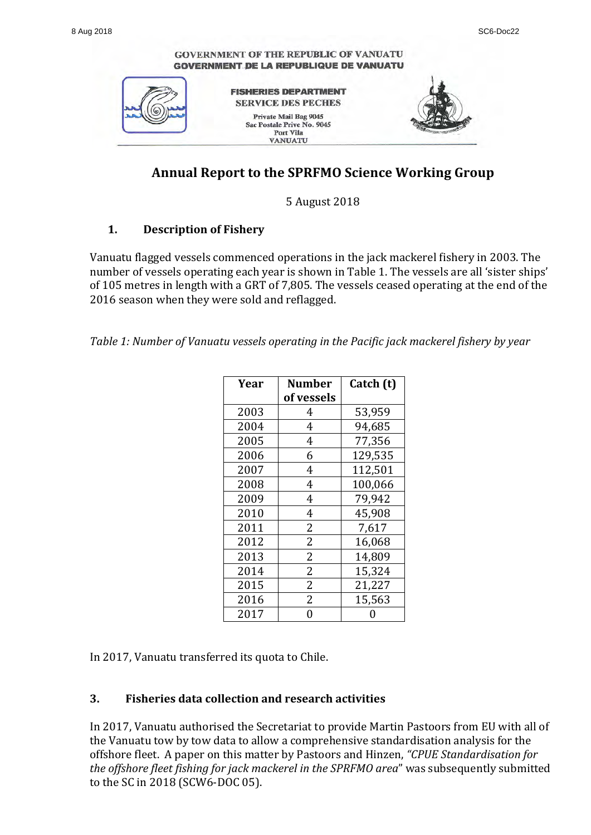#### **GOVERNMENT OF THE REPUBLIC OF VANUATU GOVERNMENT DE LA REPUBLIQUE DE VANUATU FISHERIES DEPARTMENT SERVICE DES PECHES** Private Mail Bag 9045 Sac Postale Prive No. 9045 **Port Vila VANUATU**

### **Annual Report to the SPRFMO Science Working Group**

5 August 2018 

#### 1. **Description of Fishery**

Vanuatu flagged vessels commenced operations in the jack mackerel fishery in 2003. The number of vessels operating each year is shown in Table 1. The vessels are all 'sister ships' of 105 metres in length with a GRT of 7,805. The vessels ceased operating at the end of the 2016 season when they were sold and reflagged.

*Table 1:* Number of Vanuatu vessels operating in the Pacific jack mackerel fishery by year

| Year | <b>Number</b>  | Catch (t) |
|------|----------------|-----------|
|      | of vessels     |           |
| 2003 | 4              | 53,959    |
| 2004 | 4              | 94,685    |
| 2005 | $\overline{4}$ | 77,356    |
| 2006 | 6              | 129,535   |
| 2007 | $\overline{4}$ | 112,501   |
| 2008 | 4              | 100,066   |
| 2009 | 4              | 79,942    |
| 2010 | $\overline{4}$ | 45,908    |
| 2011 | 2              | 7,617     |
| 2012 | 2              | 16,068    |
| 2013 | $\overline{2}$ | 14,809    |
| 2014 | 2              | 15,324    |
| 2015 | $\overline{2}$ | 21,227    |
| 2016 | $\overline{2}$ | 15,563    |
| 2017 | 0              |           |

In 2017, Vanuatu transferred its quota to Chile.

#### **3. Fisheries data collection and research activities**

In 2017, Vanuatu authorised the Secretariat to provide Martin Pastoors from EU with all of the Vanuatu tow by tow data to allow a comprehensive standardisation analysis for the offshore fleet. A paper on this matter by Pastoors and Hinzen, "CPUE Standardisation for *the offshore fleet fishing for jack mackerel in the SPRFMO area*" was subsequently submitted to the SC in 2018 (SCW6-DOC 05).